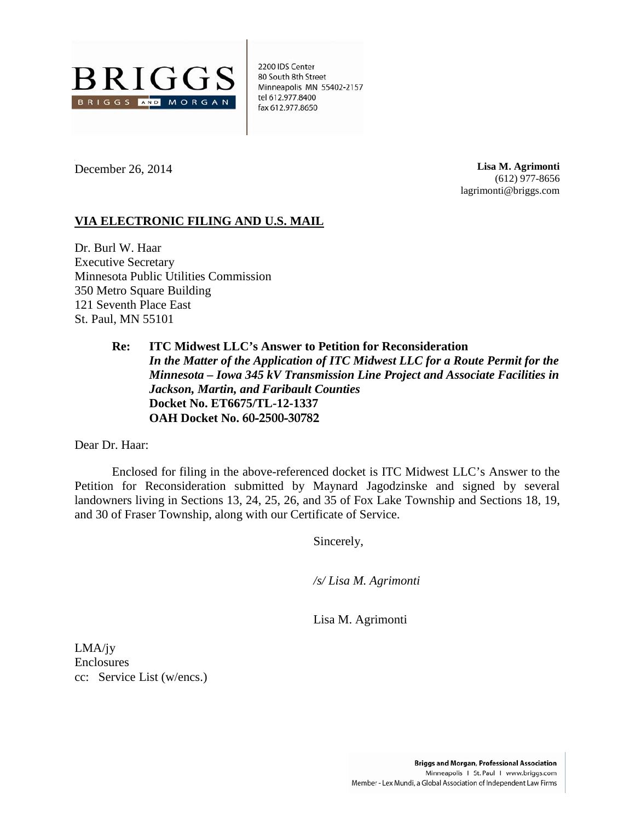

2200 IDS Center 80 South 8th Street Minneapolis MN 55402-2157 tel 612.977.8400 fax 612.977.8650

December 26, 2014

**Lisa M. Agrimonti** (612) 977-8656 lagrimonti@briggs.com

# **VIA ELECTRONIC FILING AND U.S. MAIL**

Dr. Burl W. Haar Executive Secretary Minnesota Public Utilities Commission 350 Metro Square Building 121 Seventh Place East St. Paul, MN 55101

> **Re: ITC Midwest LLC's Answer to Petition for Reconsideration** *In the Matter of the Application of ITC Midwest LLC for a Route Permit for the Minnesota – Iowa 345 kV Transmission Line Project and Associate Facilities in Jackson, Martin, and Faribault Counties* **Docket No. ET6675/TL-12-1337 OAH Docket No. 60-2500-30782**

Dear Dr. Haar:

Enclosed for filing in the above-referenced docket is ITC Midwest LLC's Answer to the Petition for Reconsideration submitted by Maynard Jagodzinske and signed by several landowners living in Sections 13, 24, 25, 26, and 35 of Fox Lake Township and Sections 18, 19, and 30 of Fraser Township, along with our Certificate of Service.

Sincerely,

*/s/ Lisa M. Agrimonti*

Lisa M. Agrimonti

LMA/jy Enclosures cc: Service List (w/encs.)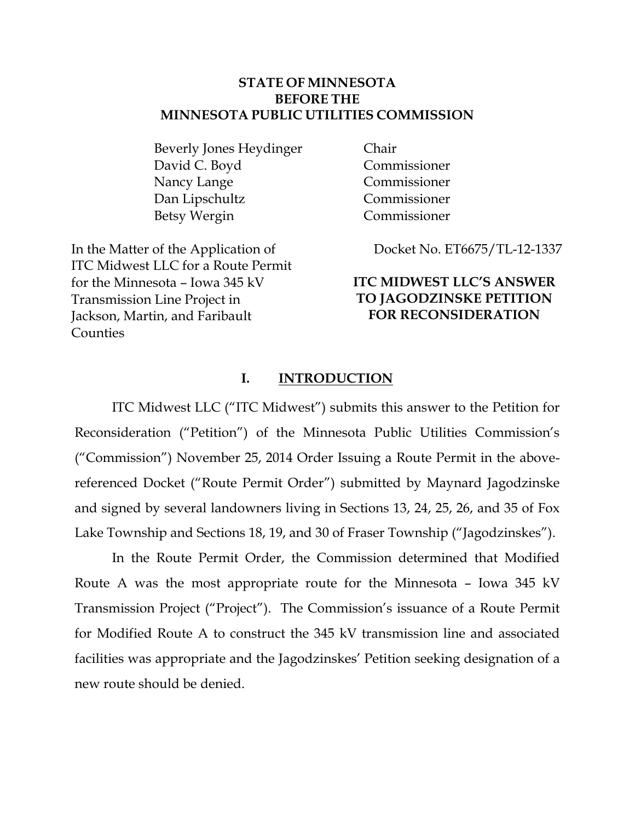# **STATE OF MINNESOTA BEFORE THE MINNESOTA PUBLIC UTILITIES COMMISSION**

Beverly Jones Heydinger David C. Boyd Nancy Lange Dan Lipschultz Betsy Wergin

In the Matter of the Application of ITC Midwest LLC for a Route Permit for the Minnesota – Iowa 345 kV Transmission Line Project in Jackson, Martin, and Faribault Counties

Chair Commissioner Commissioner Commissioner Commissioner

Docket No. ET6675/TL-12-1337

# **ITC MIDWEST LLC'S ANSWER TO JAGODZINSKE PETITION FOR RECONSIDERATION**

# **I. INTRODUCTION**

ITC Midwest LLC ("ITC Midwest") submits this answer to the Petition for Reconsideration ("Petition") of the Minnesota Public Utilities Commission's ("Commission") November 25, 2014 Order Issuing a Route Permit in the abovereferenced Docket ("Route Permit Order") submitted by Maynard Jagodzinske and signed by several landowners living in Sections 13, 24, 25, 26, and 35 of Fox Lake Township and Sections 18, 19, and 30 of Fraser Township ("Jagodzinskes").

In the Route Permit Order, the Commission determined that Modified Route A was the most appropriate route for the Minnesota – Iowa 345 kV Transmission Project ("Project"). The Commission's issuance of a Route Permit for Modified Route A to construct the 345 kV transmission line and associated facilities was appropriate and the Jagodzinskes' Petition seeking designation of a new route should be denied.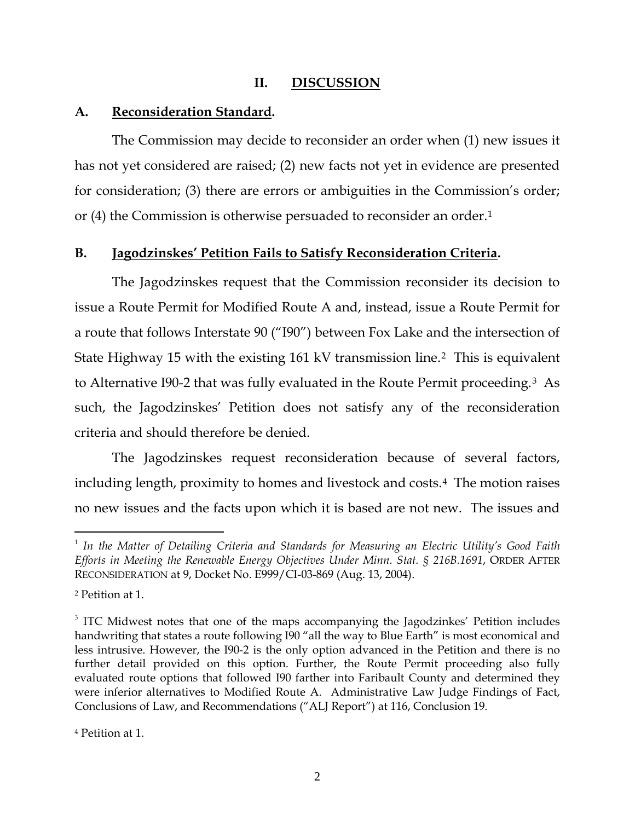# **II. DISCUSSION**

# **A. Reconsideration Standard.**

The Commission may decide to reconsider an order when (1) new issues it has not yet considered are raised; (2) new facts not yet in evidence are presented for consideration; (3) there are errors or ambiguities in the Commission's order; or (4) the Commission is otherwise persuaded to reconsider an order.[1](#page-2-0)

# **B. Jagodzinskes' Petition Fails to Satisfy Reconsideration Criteria.**

The Jagodzinskes request that the Commission reconsider its decision to issue a Route Permit for Modified Route A and, instead, issue a Route Permit for a route that follows Interstate 90 ("I90") between Fox Lake and the intersection of State Highway 15 with the existing 161 kV transmission line.[2](#page-2-1) This is equivalent to Alternative I90-2 that was fully evaluated in the Route Permit proceeding.[3](#page-2-2) As such, the Jagodzinskes' Petition does not satisfy any of the reconsideration criteria and should therefore be denied.

The Jagodzinskes request reconsideration because of several factors, including length, proximity to homes and livestock and costs.[4](#page-2-3) The motion raises no new issues and the facts upon which it is based are not new. The issues and

 $\overline{a}$ 

<span id="page-2-0"></span><sup>&</sup>lt;sup>1</sup> In the Matter of Detailing Criteria and Standards for Measuring an Electric Utility's Good Faith *Efforts in Meeting the Renewable Energy Objectives Under Minn. Stat. § 216B.1691*, ORDER AFTER RECONSIDERATION at 9, Docket No. E999/CI-03-869 (Aug. 13, 2004).

<span id="page-2-1"></span><sup>2</sup> Petition at 1.

<span id="page-2-2"></span><sup>&</sup>lt;sup>3</sup> ITC Midwest notes that one of the maps accompanying the Jagodzinkes' Petition includes handwriting that states a route following I90 "all the way to Blue Earth" is most economical and less intrusive. However, the I90-2 is the only option advanced in the Petition and there is no further detail provided on this option. Further, the Route Permit proceeding also fully evaluated route options that followed I90 farther into Faribault County and determined they were inferior alternatives to Modified Route A. Administrative Law Judge Findings of Fact, Conclusions of Law, and Recommendations ("ALJ Report") at 116, Conclusion 19.

<span id="page-2-3"></span><sup>4</sup> Petition at 1.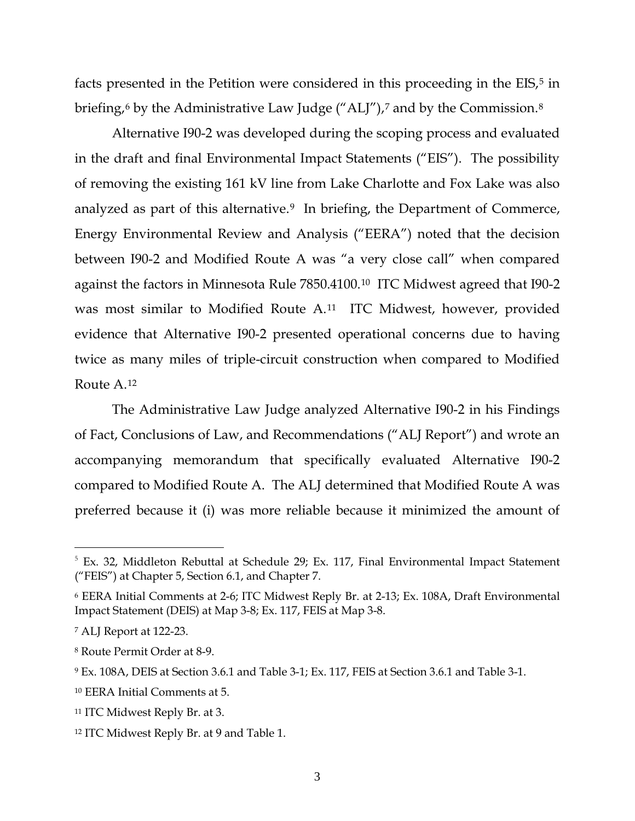facts presented in the Petition were considered in this proceeding in the EIS,<sup>[5](#page-3-0)</sup> in briefing,<sup>[6](#page-3-1)</sup> by the Administrative Law Judge ("ALJ"),<sup>7</sup> and by the Commission.<sup>[8](#page-3-3)</sup>

Alternative I90-2 was developed during the scoping process and evaluated in the draft and final Environmental Impact Statements ("EIS"). The possibility of removing the existing 161 kV line from Lake Charlotte and Fox Lake was also analyzed as part of this alternative.<sup>[9](#page-3-4)</sup> In briefing, the Department of Commerce, Energy Environmental Review and Analysis ("EERA") noted that the decision between I90-2 and Modified Route A was "a very close call" when compared against the factors in Minnesota Rule 7850.4100.[10](#page-3-5) ITC Midwest agreed that I90-2 was most similar to Modified Route A.[11](#page-3-6) ITC Midwest, however, provided evidence that Alternative I90-2 presented operational concerns due to having twice as many miles of triple-circuit construction when compared to Modified Route A.[12](#page-3-7) 

The Administrative Law Judge analyzed Alternative I90-2 in his Findings of Fact, Conclusions of Law, and Recommendations ("ALJ Report") and wrote an accompanying memorandum that specifically evaluated Alternative I90-2 compared to Modified Route A. The ALJ determined that Modified Route A was preferred because it (i) was more reliable because it minimized the amount of

<span id="page-3-0"></span> $5$  Ex. 32, Middleton Rebuttal at Schedule 29; Ex. 117, Final Environmental Impact Statement ("FEIS") at Chapter 5, Section 6.1, and Chapter 7.

<span id="page-3-1"></span><sup>6</sup> EERA Initial Comments at 2-6; ITC Midwest Reply Br. at 2-13; Ex. 108A, Draft Environmental Impact Statement (DEIS) at Map 3-8; Ex. 117, FEIS at Map 3-8.

<span id="page-3-2"></span><sup>7</sup> ALJ Report at 122-23.

<span id="page-3-3"></span><sup>8</sup> Route Permit Order at 8-9.

<span id="page-3-4"></span><sup>9</sup> Ex. 108A, DEIS at Section 3.6.1 and Table 3-1; Ex. 117, FEIS at Section 3.6.1 and Table 3-1.

<span id="page-3-5"></span><sup>10</sup> EERA Initial Comments at 5.

<span id="page-3-6"></span><sup>11</sup> ITC Midwest Reply Br. at 3.

<span id="page-3-7"></span><sup>12</sup> ITC Midwest Reply Br. at 9 and Table 1.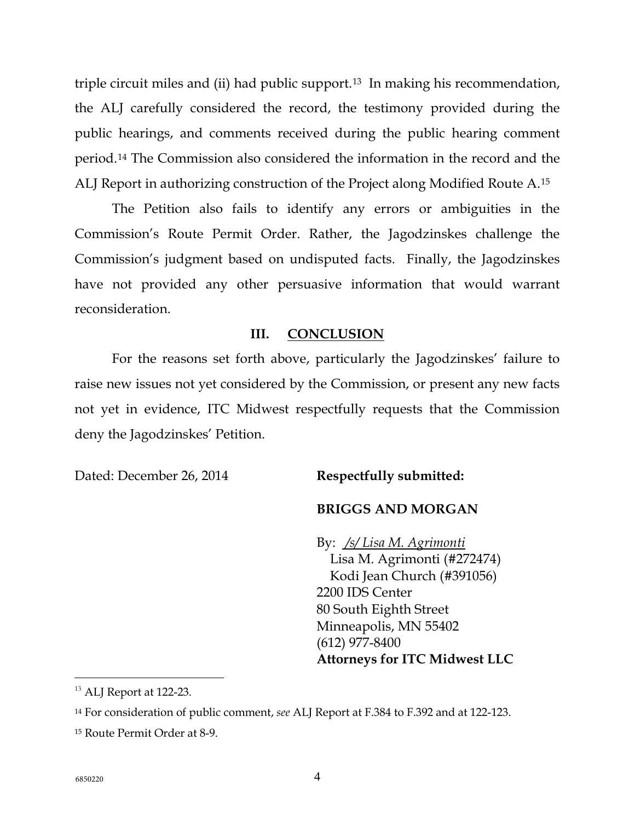triple circuit miles and (ii) had public support.[13](#page-4-0) In making his recommendation, the ALJ carefully considered the record, the testimony provided during the public hearings, and comments received during the public hearing comment period.[14](#page-4-1) The Commission also considered the information in the record and the ALJ Report in authorizing construction of the Project along Modified Route A.[15](#page-4-2) 

The Petition also fails to identify any errors or ambiguities in the Commission's Route Permit Order. Rather, the Jagodzinskes challenge the Commission's judgment based on undisputed facts. Finally, the Jagodzinskes have not provided any other persuasive information that would warrant reconsideration.

#### **III. CONCLUSION**

For the reasons set forth above, particularly the Jagodzinskes' failure to raise new issues not yet considered by the Commission, or present any new facts not yet in evidence, ITC Midwest respectfully requests that the Commission deny the Jagodzinskes' Petition.

Dated: December 26, 2014 **Respectfully submitted:**

# **BRIGGS AND MORGAN**

By: */s/ Lisa M. Agrimonti* Lisa M. Agrimonti (#272474) Kodi Jean Church (#391056) 2200 IDS Center 80 South Eighth Street Minneapolis, MN 55402 (612) 977-8400 **Attorneys for ITC Midwest LLC**

<span id="page-4-0"></span> $^{13}$  ALJ Report at 122-23.

<span id="page-4-1"></span><sup>14</sup> For consideration of public comment, *see* ALJ Report at F.384 to F.392 and at 122-123.

<span id="page-4-2"></span><sup>15</sup> Route Permit Order at 8-9.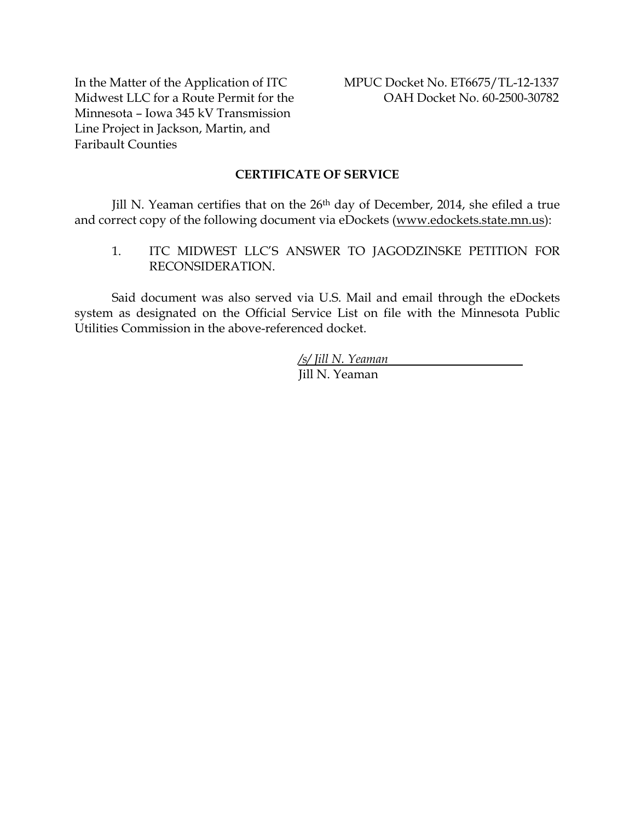In the Matter of the Application of ITC Midwest LLC for a Route Permit for the Minnesota – Iowa 345 kV Transmission Line Project in Jackson, Martin, and Faribault Counties

#### **CERTIFICATE OF SERVICE**

Jill N. Yeaman certifies that on the 26th day of December, 2014, she efiled a true and correct copy of the following document via eDockets (www.edockets.state.mn.us):

1. ITC MIDWEST LLC'S ANSWER TO JAGODZINSKE PETITION FOR RECONSIDERATION.

Said document was also served via U.S. Mail and email through the eDockets system as designated on the Official Service List on file with the Minnesota Public Utilities Commission in the above-referenced docket.

> */s/ Jill N. Yeaman* Jill N. Yeaman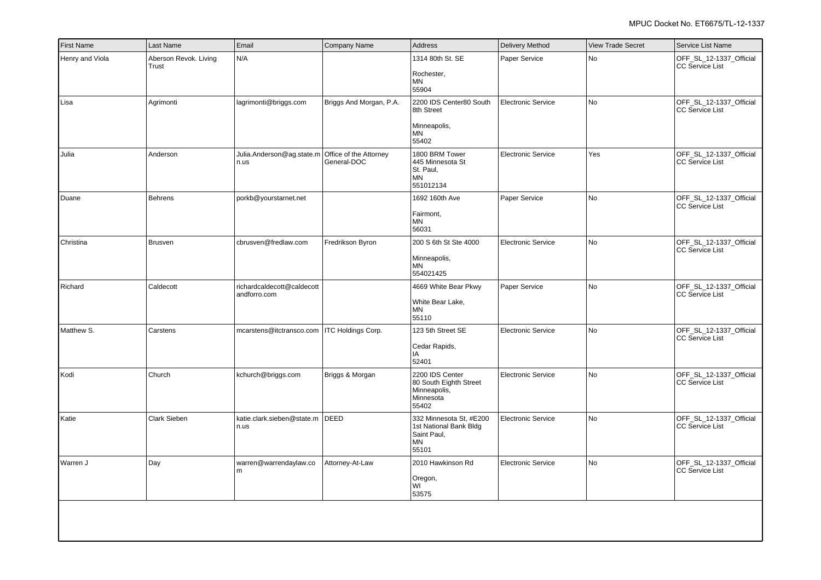| <b>First Name</b> | Last Name                      | Email                                                    | Company Name              | Address                                                                         | <b>Delivery Method</b>    | <b>View Trade Secret</b> | Service List Name                                 |
|-------------------|--------------------------------|----------------------------------------------------------|---------------------------|---------------------------------------------------------------------------------|---------------------------|--------------------------|---------------------------------------------------|
| Henry and Viola   | Aberson Revok. Living<br>Trust | N/A                                                      |                           | 1314 80th St. SE<br>Rochester,<br><b>MN</b><br>55904                            | Paper Service             | No                       | OFF_SL_12-1337_Official<br><b>CC Service List</b> |
| Lisa              | Agrimonti                      | lagrimonti@briggs.com                                    | Briggs And Morgan, P.A.   | 2200 IDS Center80 South<br>8th Street<br>Minneapolis,<br><b>MN</b><br>55402     | <b>Electronic Service</b> | No                       | OFF_SL_12-1337_Official<br><b>CC Service List</b> |
| Julia             | Anderson                       | Julia.Anderson@ag.state.m Office of the Attorney<br>n.us | General-DOC               | 1800 BRM Tower<br>445 Minnesota St<br>St. Paul,<br><b>MN</b><br>551012134       | <b>Electronic Service</b> | Yes                      | OFF_SL_12-1337_Official<br><b>CC Service List</b> |
| Duane             | Behrens                        | porkb@yourstarnet.net                                    |                           | 1692 160th Ave<br>Fairmont,<br><b>MN</b><br>56031                               | Paper Service             | No                       | OFF_SL_12-1337_Official<br><b>CC Service List</b> |
| Christina         | <b>Brusven</b>                 | cbrusven@fredlaw.com                                     | Fredrikson Byron          | 200 S 6th St Ste 4000<br>Minneapolis,<br><b>MN</b><br>554021425                 | <b>Electronic Service</b> | No                       | OFF_SL_12-1337_Official<br><b>CC Service List</b> |
| Richard           | Caldecott                      | richardcaldecott@caldecott<br>andforro.com               |                           | 4669 White Bear Pkwy<br>White Bear Lake,<br><b>MN</b><br>55110                  | Paper Service             | No                       | OFF_SL_12-1337_Official<br><b>CC Service List</b> |
| Matthew S.        | Carstens                       | mcarstens@itctransco.com                                 | <b>ITC Holdings Corp.</b> | 123 5th Street SE<br>Cedar Rapids,<br>IA<br>52401                               | <b>Electronic Service</b> | No                       | OFF_SL_12-1337_Official<br><b>CC Service List</b> |
| Kodi              | Church                         | kchurch@briggs.com                                       | Briggs & Morgan           | 2200 IDS Center<br>80 South Eighth Street<br>Minneapolis,<br>Minnesota<br>55402 | <b>Electronic Service</b> | No                       | OFF_SL_12-1337_Official<br>CC Service List        |
| Katie             | <b>Clark Sieben</b>            | katie.clark.sieben@state.m<br>n.us                       | <b>DEED</b>               | 332 Minnesota St, #E200<br>1st National Bank Bldd<br>Saint Paul,<br>MN<br>55101 | <b>Electronic Service</b> | No                       | OFF_SL_12-1337_Official<br><b>CC Service List</b> |
| Warren J          | Day                            | warren@warrendaylaw.co<br>m                              | Attorney-At-Law           | 2010 Hawkinson Rd<br>Oregon,<br>WI<br>53575                                     | <b>Electronic Service</b> | No                       | OFF_SL_12-1337_Official<br><b>CC Service List</b> |
|                   |                                |                                                          |                           |                                                                                 |                           |                          |                                                   |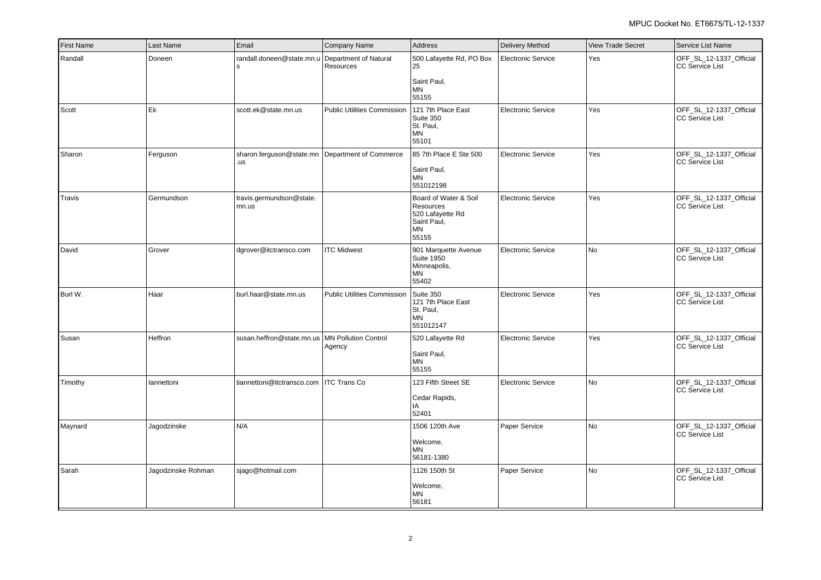| <b>First Name</b> | Last Name          | Email                                                    | Company Name                          | <b>Address</b>                                                                              | Delivery Method           | <b>View Trade Secret</b> | Service List Name                                 |
|-------------------|--------------------|----------------------------------------------------------|---------------------------------------|---------------------------------------------------------------------------------------------|---------------------------|--------------------------|---------------------------------------------------|
| Randall           | Doneen             | randall.doneen@state.mn.u<br>l S                         | Department of Natural<br>Resources    | 500 Lafayette Rd, PO Box<br>25<br>Saint Paul,<br><b>MN</b><br>55155                         | <b>Electronic Service</b> | Yes                      | OFF_SL_12-1337_Official<br><b>CC Service List</b> |
| Scott             | Ek                 | scott.ek@state.mn.us                                     | <b>Public Utilities Commission</b>    | 121 7th Place East<br>Suite 350<br>St. Paul,<br><b>MN</b><br>55101                          | <b>Electronic Service</b> | Yes                      | OFF_SL_12-1337_Official<br><b>CC Service List</b> |
| Sharon            | Ferguson           | sharon.ferguson@state.mn   Department of Commerce<br>.us |                                       | 85 7th Place E Ste 500<br>Saint Paul,<br>ΜN<br>551012198                                    | <b>Electronic Service</b> | Yes                      | OFF SL 12-1337 Official<br><b>CC Service List</b> |
| Travis            | Germundson         | travis.germundson@state.<br>mn.us                        |                                       | Board of Water & Soil<br><b>Resources</b><br>520 Lafayette Rd<br>Saint Paul,<br>ΜN<br>55155 | <b>Electronic Service</b> | Yes                      | OFF_SL_12-1337_Official<br><b>CC Service List</b> |
| David             | Grover             | dgrover@itctransco.com                                   | <b>ITC Midwest</b>                    | 901 Marquette Avenue<br><b>Suite 1950</b><br>Minneapolis,<br>ΜN<br>55402                    | <b>Electronic Service</b> | No                       | OFF_SL_12-1337_Official<br><b>CC Service List</b> |
| Burl W.           | Haar               | burl.haar@state.mn.us                                    | Public Utilities Commission Suite 350 | 121 7th Place East<br>St. Paul,<br>MN<br>551012147                                          | <b>Electronic Service</b> | Yes                      | OFF_SL_12-1337_Official<br><b>CC Service List</b> |
| Susan             | Heffron            | susan.heffron@state.mn.us   MN Pollution Control         | Agency                                | 520 Lafayette Rd<br>Saint Paul,<br><b>MN</b><br>55155                                       | <b>Electronic Service</b> | Yes                      | OFF_SL_12-1337_Official<br><b>CC Service List</b> |
| Timothy           | lannettoni         | tiannettoni@itctransco.com   ITC Trans Co                |                                       | 123 Fifth Street SE<br>Cedar Rapids,<br>IA<br>52401                                         | <b>Electronic Service</b> | No                       | OFF_SL_12-1337_Official<br><b>CC Service List</b> |
| Maynard           | Jagodzinske        | IN/A                                                     |                                       | 1506 120th Ave<br>Welcome,<br><b>MN</b><br>56181-1380                                       | Paper Service             | l No                     | OFF SL 12-1337 Official<br><b>CC Service List</b> |
| Sarah             | Jagodzinske Rohman | sjago@hotmail.com                                        |                                       | 1126 150th St<br>Welcome,<br><b>MN</b><br>56181                                             | Paper Service             | No                       | OFF_SL_12-1337_Official<br><b>CC Service List</b> |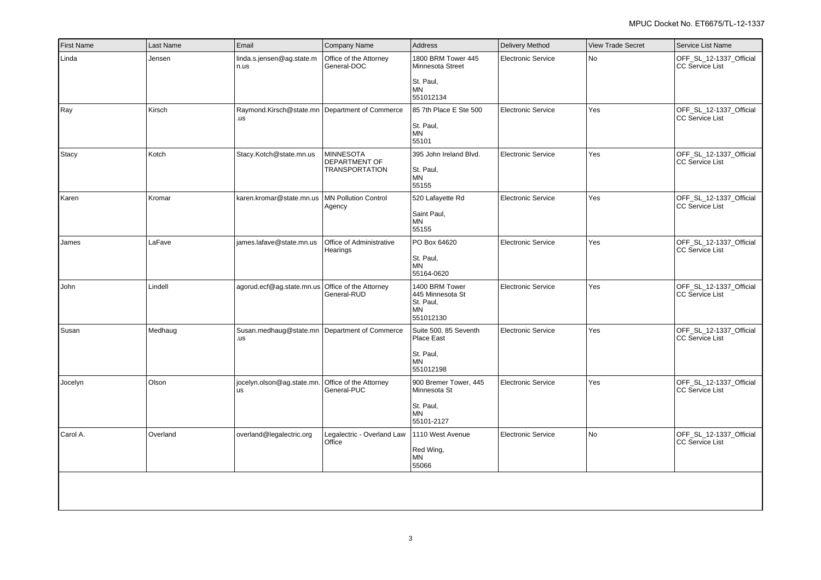| <b>First Name</b> | Last Name | Email                                                 | Company Name                                                      | Address                                                                       | <b>Delivery Method</b>    | <b>View Trade Secret</b> | Service List Name                                 |
|-------------------|-----------|-------------------------------------------------------|-------------------------------------------------------------------|-------------------------------------------------------------------------------|---------------------------|--------------------------|---------------------------------------------------|
| Linda             | Jensen    | linda.s.jensen@ag.state.m<br>n.us                     | Office of the Attorney<br>General-DOC                             | 1800 BRM Tower 445<br>Minnesota Street<br>St. Paul,<br><b>MN</b>              | <b>Electronic Service</b> | <b>No</b>                | OFF_SL_12-1337_Official<br><b>CC Service List</b> |
| Ray               | Kirsch    | Raymond.Kirsch@state.mn Department of Commerce<br>.us |                                                                   | 551012134<br>85 7th Place E Ste 500<br>St. Paul,<br>MN<br>55101               | <b>Electronic Service</b> | Yes                      | OFF_SL_12-1337_Official<br><b>CC Service List</b> |
| Stacy             | Kotch     | Stacy.Kotch@state.mn.us                               | <b>MINNESOTA</b><br><b>DEPARTMENT OF</b><br><b>TRANSPORTATION</b> | 395 John Ireland Blvd.<br>St. Paul,<br><b>MN</b><br>55155                     | <b>Electronic Service</b> | Yes                      | OFF_SL_12-1337_Official<br><b>CC Service List</b> |
| Karen             | Kromar    | karen.kromar@state.mn.us                              | <b>MN Pollution Control</b><br>Agency                             | 520 Lafayette Rd<br>Saint Paul,<br><b>MN</b><br>55155                         | <b>Electronic Service</b> | Yes                      | OFF_SL_12-1337_Official<br><b>CC Service List</b> |
| James             | LaFave    | james.lafave@state.mn.us                              | Office of Administrative<br>Hearings                              | PO Box 64620<br>St. Paul,<br><b>MN</b><br>55164-0620                          | <b>Electronic Service</b> | Yes                      | OFF_SL_12-1337_Official<br><b>CC Service List</b> |
| John              | Lindell   | agorud.ecf@ag.state.mn.us                             | Office of the Attorney<br>General-RUD                             | 1400 BRM Tower<br>445 Minnesota St<br>St. Paul,<br><b>MN</b><br>551012130     | <b>Electronic Service</b> | Yes                      | OFF_SL_12-1337_Official<br><b>CC Service List</b> |
| Susan             | Medhaug   | Susan.medhaug@state.mn Department of Commerce<br>.us  |                                                                   | Suite 500, 85 Seventh<br>Place East<br>St. Paul,<br><b>MN</b><br>551012198    | Electronic Service        | Yes                      | OFF_SL_12-1337_Official<br><b>CC Service List</b> |
| Jocelyn           | Olson     | jocelyn.olson@ag.state.mn.<br>us                      | Office of the Attorney<br>General-PUC                             | 900 Bremer Tower, 445<br>Minnesota St<br>St. Paul,<br><b>MN</b><br>55101-2127 | <b>Electronic Service</b> | Yes                      | OFF_SL_12-1337_Official<br><b>CC Service List</b> |
| Carol A.          | Overland  | overland@legalectric.org                              | Legalectric - Overland Law<br>Office                              | 1110 West Avenue<br>Red Wing,<br>MN<br>55066                                  | <b>Electronic Service</b> | No                       | OFF_SL_12-1337_Official<br><b>CC Service List</b> |
|                   |           |                                                       |                                                                   |                                                                               |                           |                          |                                                   |